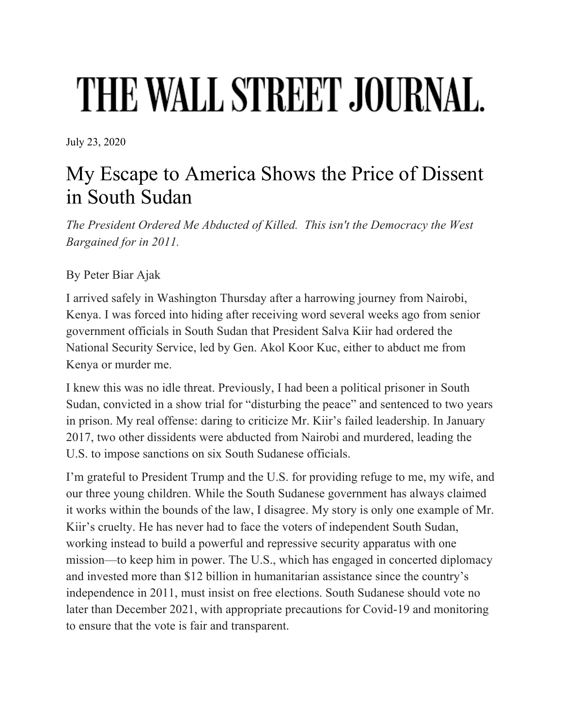## THE WALL STREET JOURNAL.

July 23, 2020

## My Escape to America Shows the Price of Dissent in South Sudan

*The President Ordered Me Abducted of Killed. This isn't the Democracy the West Bargained for in 2011.*

By Peter Biar Ajak

I arrived safely in Washington Thursday after a harrowing journey from Nairobi, Kenya. I was forced into hiding after receiving word several weeks ago from senior government officials in South Sudan that President Salva Kiir had ordered the National Security Service, led by Gen. Akol Koor Kuc, either to abduct me from Kenya or murder me.

I knew this was no idle threat. Previously, I had been a political prisoner in South Sudan, convicted in a show trial for "disturbing the peace" and sentenced to two years in prison. My real offense: daring to criticize Mr. Kiir's failed leadership. In January 2017, two other dissidents were abducted from Nairobi and murdered, leading the U.S. to impose sanctions on six South Sudanese officials.

I'm grateful to President Trump and the U.S. for providing refuge to me, my wife, and our three young children. While the South Sudanese government has always claimed it works within the bounds of the law, I disagree. My story is only one example of Mr. Kiir's cruelty. He has never had to face the voters of independent South Sudan, working instead to build a powerful and repressive security apparatus with one mission—to keep him in power. The U.S., which has engaged in concerted diplomacy and invested more than \$12 billion in humanitarian assistance since the country's independence in 2011, must insist on free elections. South Sudanese should vote no later than December 2021, with appropriate precautions for Covid-19 and monitoring to ensure that the vote is fair and transparent.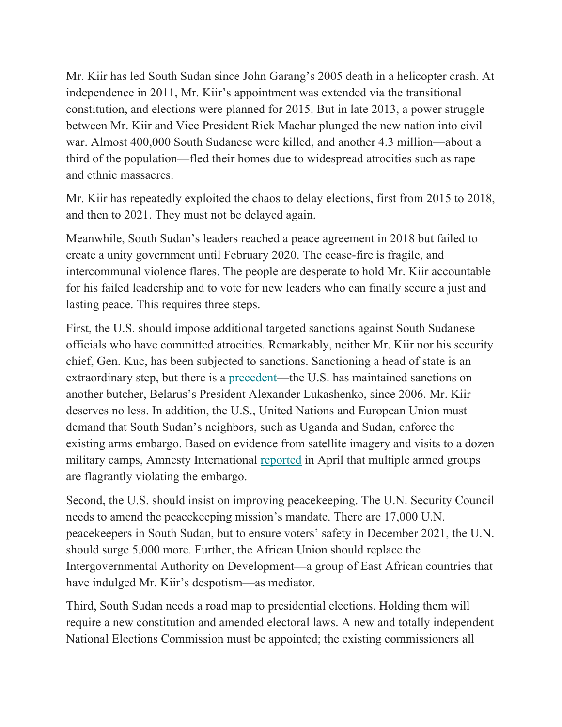Mr. Kiir has led South Sudan since John Garang's 2005 death in a helicopter crash. At independence in 2011, Mr. Kiir's appointment was extended via the transitional constitution, and elections were planned for 2015. But in late 2013, a power struggle between Mr. Kiir and Vice President Riek Machar plunged the new nation into civil war. Almost 400,000 South Sudanese were killed, and another 4.3 million—about a third of the population—fled their homes due to widespread atrocities such as rape and ethnic massacres.

Mr. Kiir has repeatedly exploited the chaos to delay elections, first from 2015 to 2018, and then to 2021. They must not be delayed again.

Meanwhile, South Sudan's leaders reached a peace agreement in 2018 but failed to create a unity government until February 2020. The cease-fire is fragile, and intercommunal violence flares. The people are desperate to hold Mr. Kiir accountable for his failed leadership and to vote for new leaders who can finally secure a just and lasting peace. This requires three steps.

First, the U.S. should impose additional targeted sanctions against South Sudanese officials who have committed atrocities. Remarkably, neither Mr. Kiir nor his security chief, Gen. Kuc, has been subjected to sanctions. Sanctioning a head of state is an extraordinary step, but there is a precedent—the U.S. has maintained sanctions on another butcher, Belarus's President Alexander Lukashenko, since 2006. Mr. Kiir deserves no less. In addition, the U.S., United Nations and European Union must demand that South Sudan's neighbors, such as Uganda and Sudan, enforce the existing arms embargo. Based on evidence from satellite imagery and visits to a dozen military camps, Amnesty International reported in April that multiple armed groups are flagrantly violating the embargo.

Second, the U.S. should insist on improving peacekeeping. The U.N. Security Council needs to amend the peacekeeping mission's mandate. There are 17,000 U.N. peacekeepers in South Sudan, but to ensure voters' safety in December 2021, the U.N. should surge 5,000 more. Further, the African Union should replace the Intergovernmental Authority on Development—a group of East African countries that have indulged Mr. Kiir's despotism—as mediator.

Third, South Sudan needs a road map to presidential elections. Holding them will require a new constitution and amended electoral laws. A new and totally independent National Elections Commission must be appointed; the existing commissioners all